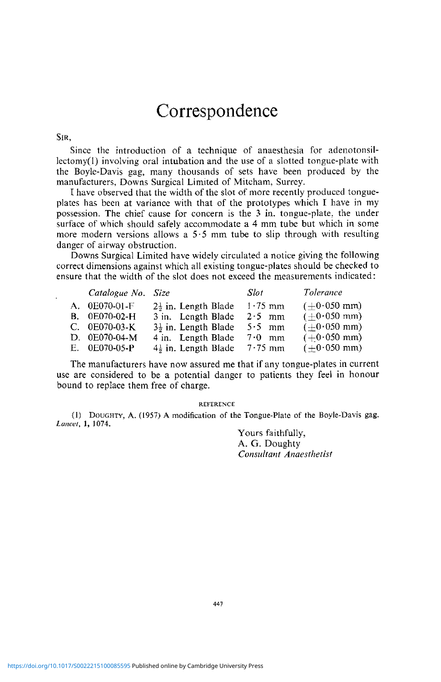## Correspondence

SIR,

Since the introduction of a technique of anaesthesia for adenotonsillectomy(l) involving oral intubation and the use of a slotted tongue-plate with the Boyle-Davis gag, many thousands of sets have been produced by the manufacturers, Downs Surgical Limited of Mitcham, Surrey.

I have observed that the width of the slot of more recently produced tongueplates has been at variance with that of the prototypes which I have in my possession. The chief cause for concern is the 3 in. tongue-plate, the under surface of which should safely accommodate a 4 mm tube but which in some more modern versions allows a  $5.5$  mm tube to slip through with resulting danger of airway obstruction.

Downs Surgical Limited have widely circulated a notice giving the following correct dimensions against which all existing tongue-plates should be checked to ensure that the width of the slot does not exceed the measurements indicated:

| Catalogue No. Size |                                 | Slot             | Tolerance                |
|--------------------|---------------------------------|------------------|--------------------------|
| A. 0E070-01-F      | $2\frac{1}{2}$ in. Length Blade | $1.75$ mm        | $(+0.050$ mm)            |
| B. 0E070-02-H      | 3 in. Length Blade              | $2.5$ mm         | $(\pm 0.050 \text{ mm})$ |
| $C. 0E070-03-K$    | $3\frac{1}{2}$ in. Length Blade | $5.5 \text{ mm}$ | $(\pm 0.050$ mm)         |
| D. 0E070-04-M      | 4 in. Length Blade              | $7.0 \text{ mm}$ | $(+0.050$ mm)            |
| E. 0E070-05-P      | $4\frac{1}{2}$ in. Length Blade | $7.75$ mm        | $(+0.050$ mm)            |

The manufacturers have now assured me that if any tongue-plates in current use are considered to be a potential danger to patients they feel in honour bound to replace them free of charge.

## REFERENCE

(1) DOUGHTY, A. (1957) A modification of the Tongue-Plate of the Boyle-Davis gag. *Lancet,* 1, 1074.

Yours faithfully, A. G. Doughty *Consultant Anaesthetist*